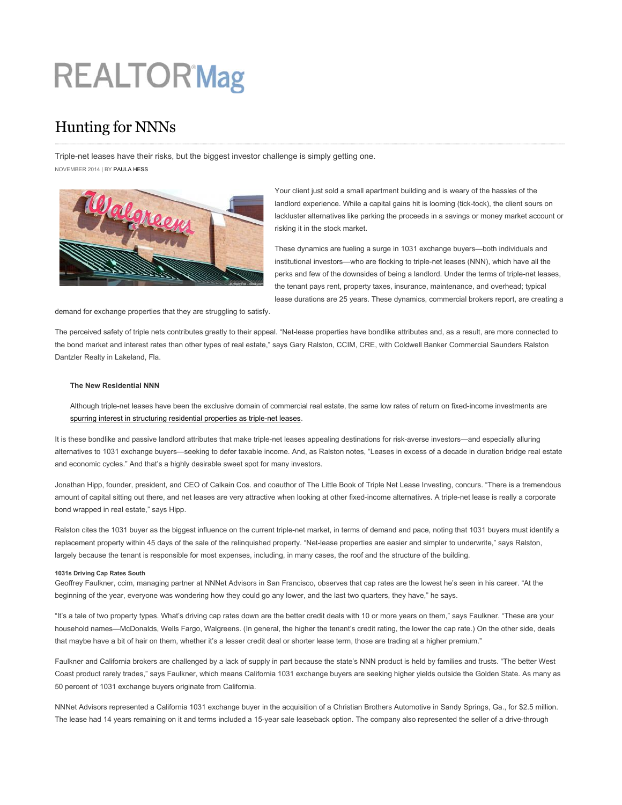# **REALTORMag**

## Hunting for NNNs

Triple-net leases have their risks, but the biggest investor challenge is simply getting one. NOVEMBER 2014 | BY PAULA HESS



Your client just sold a small apartment building and is weary of the hassles of the landlord experience. While a capital gains hit is looming (tick-tock), the client sours on lackluster alternatives like parking the proceeds in a savings or money market account or risking it in the stock market.

These dynamics are fueling a surge in 1031 exchange buyers—both individuals and institutional investors—who are flocking to triple-net leases (NNN), which have all the perks and few of the downsides of being a landlord. Under the terms of triple-net leases, the tenant pays rent, property taxes, insurance, maintenance, and overhead; typical lease durations are 25 years. These dynamics, commercial brokers report, are creating a

demand for exchange properties that they are struggling to satisfy.

The perceived safety of triple nets contributes greatly to their appeal. "Net-lease properties have bondlike attributes and, as a result, are more connected to the bond market and interest rates than other types of real estate," says Gary Ralston, CCIM, CRE, with Coldwell Banker Commercial Saunders Ralston Dantzler Realty in Lakeland, Fla.

## **The New Residential NNN**

Although triple-net leases have been the exclusive domain of commercial real estate, the same low rates of return on fixed-income investments are spurring interest in structuring residential properties as triple-net leases.

It is these bondlike and passive landlord attributes that make triple-net leases appealing destinations for risk-averse investors—and especially alluring alternatives to 1031 exchange buyers—seeking to defer taxable income. And, as Ralston notes, "Leases in excess of a decade in duration bridge real estate and economic cycles." And that's a highly desirable sweet spot for many investors.

Jonathan Hipp, founder, president, and CEO of Calkain Cos. and coauthor of The Little Book of Triple Net Lease Investing, concurs. "There is a tremendous amount of capital sitting out there, and net leases are very attractive when looking at other fixed-income alternatives. A triple-net lease is really a corporate bond wrapped in real estate," says Hipp.

Ralston cites the 1031 buyer as the biggest influence on the current triple-net market, in terms of demand and pace, noting that 1031 buyers must identify a replacement property within 45 days of the sale of the relinquished property. "Net-lease properties are easier and simpler to underwrite," says Ralston, largely because the tenant is responsible for most expenses, including, in many cases, the roof and the structure of the building.

#### **1031s Driving Cap Rates South**

Geoffrey Faulkner, ccim, managing partner at NNNet Advisors in San Francisco, observes that cap rates are the lowest he's seen in his career. "At the beginning of the year, everyone was wondering how they could go any lower, and the last two quarters, they have," he says.

"It's a tale of two property types. What's driving cap rates down are the better credit deals with 10 or more years on them," says Faulkner. "These are your household names—McDonalds, Wells Fargo, Walgreens. (In general, the higher the tenant's credit rating, the lower the cap rate.) On the other side, deals that maybe have a bit of hair on them, whether it's a lesser credit deal or shorter lease term, those are trading at a higher premium."

Faulkner and California brokers are challenged by a lack of supply in part because the state's NNN product is held by families and trusts. "The better West Coast product rarely trades," says Faulkner, which means California 1031 exchange buyers are seeking higher yields outside the Golden State. As many as 50 percent of 1031 exchange buyers originate from California.

NNNet Advisors represented a California 1031 exchange buyer in the acquisition of a Christian Brothers Automotive in Sandy Springs, Ga., for \$2.5 million. The lease had 14 years remaining on it and terms included a 15-year sale leaseback option. The company also represented the seller of a drive-through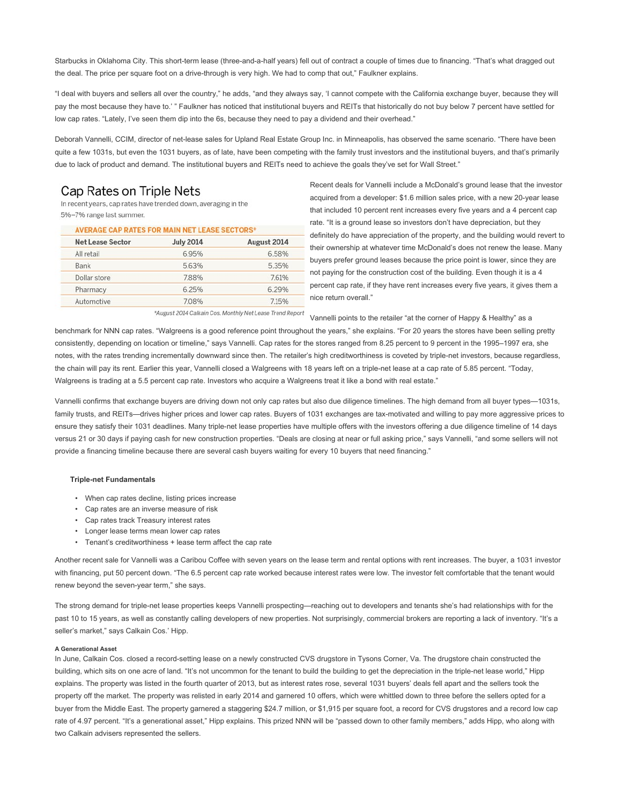Starbucks in Oklahoma City. This short-term lease (three-and-a-half years) fell out of contract a couple of times due to financing. "That's what dragged out the deal. The price per square foot on a drive-through is very high. We had to comp that out," Faulkner explains.

"I deal with buyers and sellers all over the country," he adds, "and they always say, 'I cannot compete with the California exchange buyer, because they will pay the most because they have to.' " Faulkner has noticed that institutional buyers and REITs that historically do not buy below 7 percent have settled for low cap rates. "Lately, I've seen them dip into the 6s, because they need to pay a dividend and their overhead."

Deborah Vannelli, CCIM, director of net-lease sales for Upland Real Estate Group Inc. in Minneapolis, has observed the same scenario. "There have been quite a few 1031s, but even the 1031 buyers, as of late, have been competing with the family trust investors and the institutional buyers, and that's primarily due to lack of product and demand. The institutional buyers and REITs need to achieve the goals they've set for Wall Street."

## Cap Rates on Triple Nets

In recent years, cap rates have trended down, averaging in the 5%-7% range last summer.

## **AVERAGE CAP RATES FOR MAIN NET LEASE SECTORS\***

| <b>Net Lease Sector</b> | <b>July 2014</b> | August 2014 |
|-------------------------|------------------|-------------|
| All retail              | 6.95%            | 6.58%       |
| Bank                    | 5.63%            | 5.35%       |
| Dollar store            | 7.88%            | 7.61%       |
| Pharmacy                | 6.25%            | 6.29%       |
| Automotive              | 7.08%            | 715%        |

Recent deals for Vannelli include a McDonald's ground lease that the investor acquired from a developer: \$1.6 million sales price, with a new 20-year lease that included 10 percent rent increases every five years and a 4 percent cap rate. "It is a ground lease so investors don't have depreciation, but they definitely do have appreciation of the property, and the building would revert to their ownership at whatever time McDonald's does not renew the lease. Many buyers prefer ground leases because the price point is lower, since they are not paying for the construction cost of the building. Even though it is a 4 percent cap rate, if they have rent increases every five years, it gives them a nice return overall."

\*August 2014 Calkain Cos. Monthly Net Lease Trend Report

Vannelli points to the retailer "at the corner of Happy & Healthy" as a

benchmark for NNN cap rates. "Walgreens is a good reference point throughout the years," she explains. "For 20 years the stores have been selling pretty consistently, depending on location or timeline," says Vannelli. Cap rates for the stores ranged from 8.25 percent to 9 percent in the 1995–1997 era, she notes, with the rates trending incrementally downward since then. The retailer's high creditworthiness is coveted by triple-net investors, because regardless, the chain will pay its rent. Earlier this year, Vannelli closed a Walgreens with 18 years left on a triple-net lease at a cap rate of 5.85 percent. "Today, Walgreens is trading at a 5.5 percent cap rate. Investors who acquire a Walgreens treat it like a bond with real estate."

Vannelli confirms that exchange buyers are driving down not only cap rates but also due diligence timelines. The high demand from all buyer types—1031s, family trusts, and REITs—drives higher prices and lower cap rates. Buyers of 1031 exchanges are tax-motivated and willing to pay more aggressive prices to ensure they satisfy their 1031 deadlines. Many triple-net lease properties have multiple offers with the investors offering a due diligence timeline of 14 days versus 21 or 30 days if paying cash for new construction properties. "Deals are closing at near or full asking price," says Vannelli, "and some sellers will not provide a financing timeline because there are several cash buyers waiting for every 10 buyers that need financing."

## **Triple-net Fundamentals**

- When cap rates decline, listing prices increase
- Cap rates are an inverse measure of risk
- Cap rates track Treasury interest rates
- Longer lease terms mean lower cap rates
- Tenant's creditworthiness + lease term affect the cap rate

Another recent sale for Vannelli was a Caribou Coffee with seven years on the lease term and rental options with rent increases. The buyer, a 1031 investor with financing, put 50 percent down. "The 6.5 percent cap rate worked because interest rates were low. The investor felt comfortable that the tenant would renew beyond the seven-year term," she says.

The strong demand for triple-net lease properties keeps Vannelli prospecting—reaching out to developers and tenants she's had relationships with for the past 10 to 15 years, as well as constantly calling developers of new properties. Not surprisingly, commercial brokers are reporting a lack of inventory. "It's a seller's market," says Calkain Cos.' Hipp.

## **A Generational Asset**

In June, Calkain Cos. closed a record-setting lease on a newly constructed CVS drugstore in Tysons Corner, Va. The drugstore chain constructed the building, which sits on one acre of land. "It's not uncommon for the tenant to build the building to get the depreciation in the triple-net lease world," Hipp explains. The property was listed in the fourth quarter of 2013, but as interest rates rose, several 1031 buyers' deals fell apart and the sellers took the property off the market. The property was relisted in early 2014 and garnered 10 offers, which were whittled down to three before the sellers opted for a buyer from the Middle East. The property garnered a staggering \$24.7 million, or \$1,915 per square foot, a record for CVS drugstores and a record low cap rate of 4.97 percent. "It's a generational asset," Hipp explains. This prized NNN will be "passed down to other family members," adds Hipp, who along with two Calkain advisers represented the sellers.